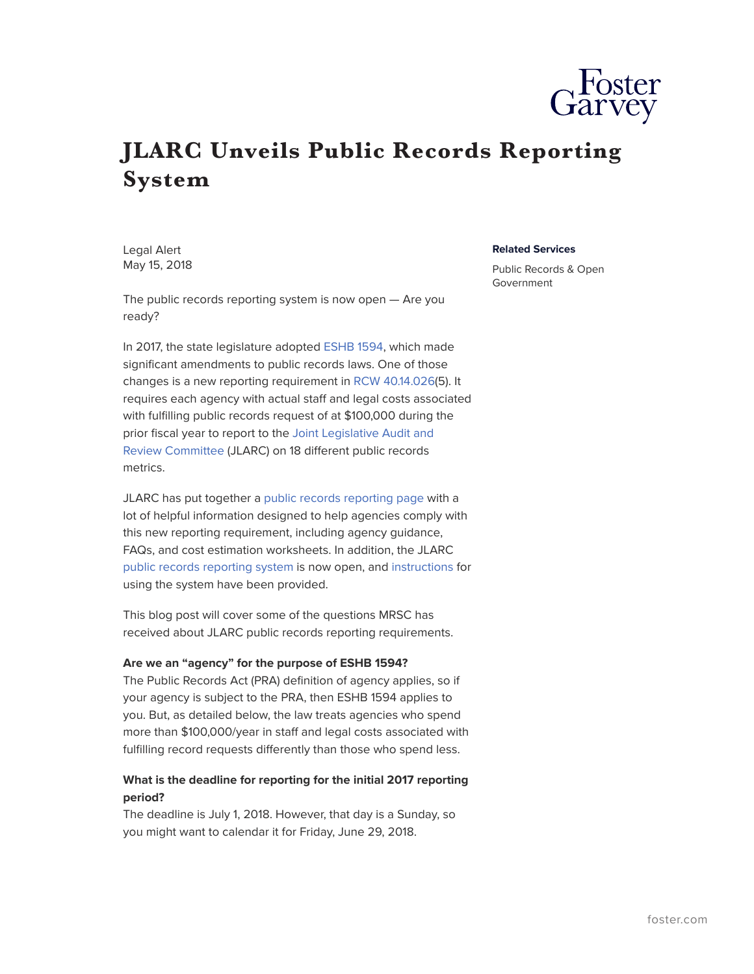

# **JLARC Unveils Public Records Reporting System**

Legal Alert May 15, 2018

The public records reporting system is now open — Are you ready?

In 2017, the state legislature adopted [ESHB 1594](http://lawfilesext.leg.wa.gov/biennium/2017-18/Pdf/Bills/Session%20Laws/House/1594-S.SL.pdf), which made significant amendments to public records laws. One of those changes is a new reporting requirement in [RCW 40.14.026](http://app.leg.wa.gov/RCW/default.aspx?cite=40.14.026)(5). It requires each agency with actual staff and legal costs associated with fulfilling public records request of at \$100,000 during the prior fiscal year to report to the [Joint Legislative Audit and](http://leg.wa.gov/jlarc/Pages/default.aspx) [Review Committee](http://leg.wa.gov/jlarc/Pages/default.aspx) (JLARC) on 18 different public records metrics.

JLARC has put together a [public records reporting page](http://leg.wa.gov/jlarc/Pages/default.aspx) with a lot of helpful information designed to help agencies comply with this new reporting requirement, including agency guidance, FAQs, and cost estimation worksheets. In addition, the JLARC [public records reporting system](http://app.leg.wa.gov/PublicRecordsReporting/Account/Login) is now open, and [instructions](http://leg.wa.gov/jlarc/Documents/PubRecordsAdmin/guidanceForReporting/PublicRecordsReportingInstructions.pdf) for using the system have been provided.

This blog post will cover some of the questions MRSC has received about JLARC public records reporting requirements.

#### **Are we an "agency" for the purpose of ESHB 1594?**

The Public Records Act (PRA) definition of agency applies, so if your agency is subject to the PRA, then ESHB 1594 applies to you. But, as detailed below, the law treats agencies who spend more than \$100,000/year in staff and legal costs associated with fulfilling record requests differently than those who spend less.

# **What is the deadline for reporting for the initial 2017 reporting period?**

The deadline is July 1, 2018. However, that day is a Sunday, so you might want to calendar it for Friday, June 29, 2018.

#### **Related Services**

Public Records & Open Government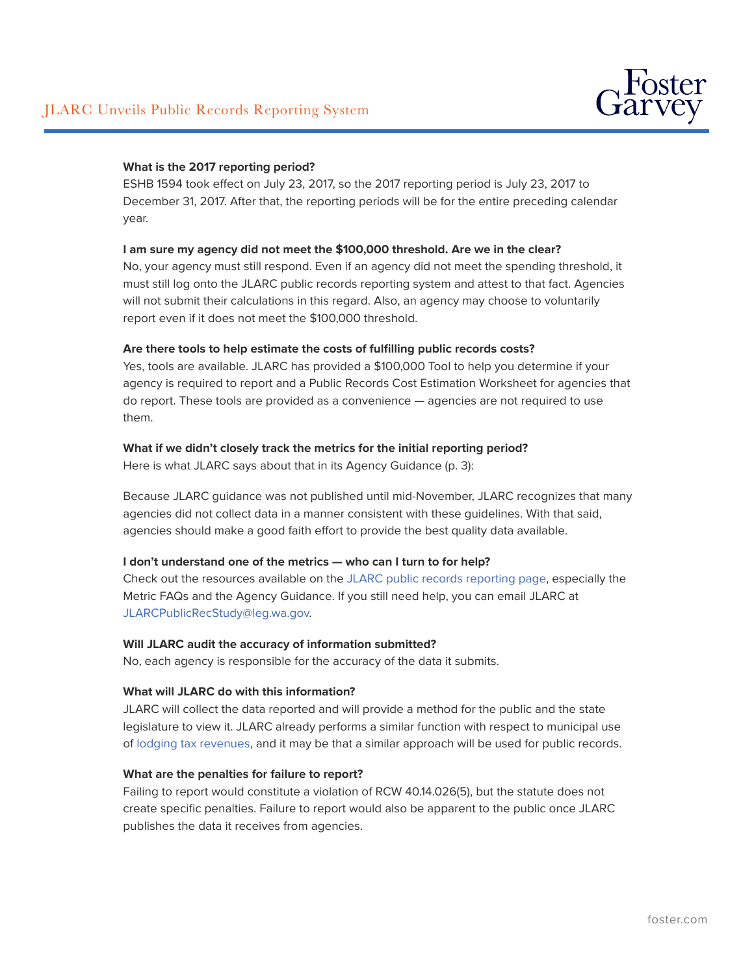

## **What is the 2017 reporting period?**

ESHB 1594 took effect on July 23, 2017, so the 2017 reporting period is July 23, 2017 to December 31, 2017. After that, the reporting periods will be for the entire preceding calendar year.

## **I am sure my agency did not meet the \$100,000 threshold. Are we in the clear?**

No, your agency must still respond. Even if an agency did not meet the spending threshold, it must still log onto the JLARC public records reporting system and attest to that fact. Agencies will not submit their calculations in this regard. Also, an agency may choose to voluntarily report even if it does not meet the \$100,000 threshold.

### **Are there tools to help estimate the costs of fulfilling public records costs?**

Yes, tools are available. JLARC has provided a \$100,000 Tool to help you determine if your agency is required to report and a Public Records Cost Estimation Worksheet for agencies that do report. These tools are provided as a convenience — agencies are not required to use them.

### **What if we didn't closely track the metrics for the initial reporting period?**

Here is what JLARC says about that in its Agency Guidance (p. 3):

Because JLARC guidance was not published until mid-November, JLARC recognizes that many agencies did not collect data in a manner consistent with these guidelines. With that said, agencies should make a good faith effort to provide the best quality data available.

### **I don't understand one of the metrics — who can I turn to for help?**

Check out the resources available on the [JLARC public records reporting page,](http://leg.wa.gov/jlarc/Pages/publicRecAdmin.aspx) especially the Metric FAQs and the Agency Guidance. If you still need help, you can email JLARC at [JLARCPublicRecStudy@leg.wa.gov.](mailto:JLARCPublicRecStudy@leg.wa.gov)

### **Will JLARC audit the accuracy of information submitted?**

No, each agency is responsible for the accuracy of the data it submits.

### **What will JLARC do with this information?**

JLARC will collect the data reported and will provide a method for the public and the state legislature to view it. JLARC already performs a similar function with respect to municipal use of [lodging tax revenues](http://leg.wa.gov/jlarc/reports/JLARCLodgingTax/default.htm), and it may be that a similar approach will be used for public records.

### **What are the penalties for failure to report?**

Failing to report would constitute a violation of RCW 40.14.026(5), but the statute does not create specific penalties. Failure to report would also be apparent to the public once JLARC publishes the data it receives from agencies.